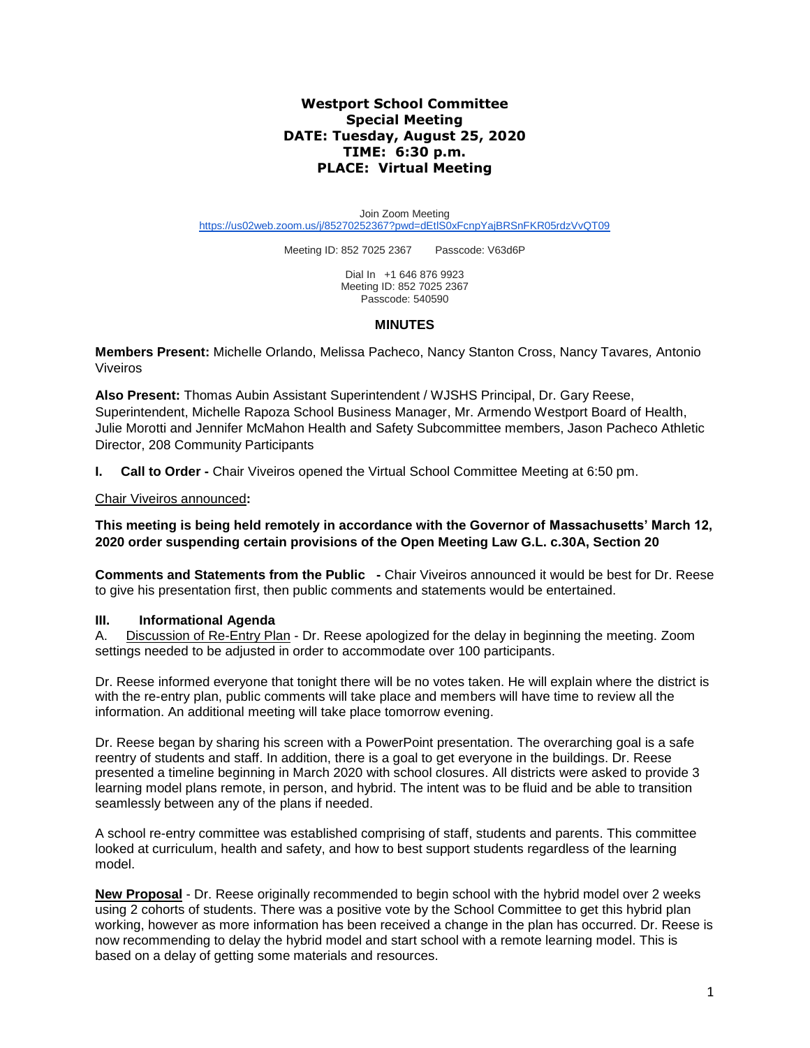# **Westport School Committee Special Meeting DATE: Tuesday, August 25, 2020 TIME: 6:30 p.m. PLACE: Virtual Meeting**

Join Zoom Meeting <https://us02web.zoom.us/j/85270252367?pwd=dEtlS0xFcnpYajBRSnFKR05rdzVvQT09>

Meeting ID: 852 7025 2367 Passcode: V63d6P

Dial In +1 646 876 9923 Meeting ID: 852 7025 2367 Passcode: 540590

#### **MINUTES**

**Members Present:** Michelle Orlando, Melissa Pacheco, Nancy Stanton Cross, Nancy Tavares*,* Antonio Viveiros

**Also Present:** Thomas Aubin Assistant Superintendent / WJSHS Principal, Dr. Gary Reese, Superintendent, Michelle Rapoza School Business Manager, Mr. Armendo Westport Board of Health, Julie Morotti and Jennifer McMahon Health and Safety Subcommittee members, Jason Pacheco Athletic Director, 208 Community Participants

**I. Call to Order -** Chair Viveiros opened the Virtual School Committee Meeting at 6:50 pm.

# Chair Viveiros announced**:**

**This meeting is being held remotely in accordance with the Governor of Massachusetts' March 12, 2020 order suspending certain provisions of the Open Meeting Law G.L. c.30A, Section 20**

**Comments and Statements from the Public -** Chair Viveiros announced it would be best for Dr. Reese to give his presentation first, then public comments and statements would be entertained.

# **III. Informational Agenda**

A. Discussion of Re-Entry Plan - Dr. Reese apologized for the delay in beginning the meeting. Zoom settings needed to be adjusted in order to accommodate over 100 participants.

Dr. Reese informed everyone that tonight there will be no votes taken. He will explain where the district is with the re-entry plan, public comments will take place and members will have time to review all the information. An additional meeting will take place tomorrow evening.

Dr. Reese began by sharing his screen with a PowerPoint presentation. The overarching goal is a safe reentry of students and staff. In addition, there is a goal to get everyone in the buildings. Dr. Reese presented a timeline beginning in March 2020 with school closures. All districts were asked to provide 3 learning model plans remote, in person, and hybrid. The intent was to be fluid and be able to transition seamlessly between any of the plans if needed.

A school re-entry committee was established comprising of staff, students and parents. This committee looked at curriculum, health and safety, and how to best support students regardless of the learning model.

**New Proposal** - Dr. Reese originally recommended to begin school with the hybrid model over 2 weeks using 2 cohorts of students. There was a positive vote by the School Committee to get this hybrid plan working, however as more information has been received a change in the plan has occurred. Dr. Reese is now recommending to delay the hybrid model and start school with a remote learning model. This is based on a delay of getting some materials and resources.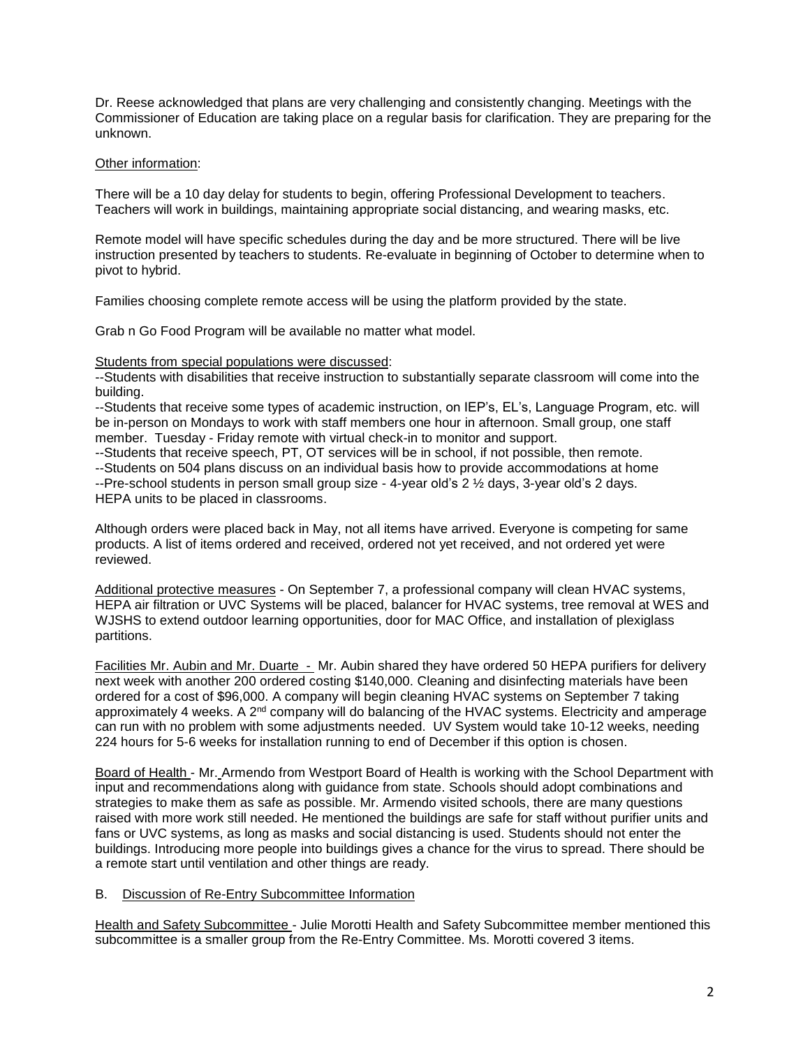Dr. Reese acknowledged that plans are very challenging and consistently changing. Meetings with the Commissioner of Education are taking place on a regular basis for clarification. They are preparing for the unknown.

# Other information:

There will be a 10 day delay for students to begin, offering Professional Development to teachers. Teachers will work in buildings, maintaining appropriate social distancing, and wearing masks, etc.

Remote model will have specific schedules during the day and be more structured. There will be live instruction presented by teachers to students. Re-evaluate in beginning of October to determine when to pivot to hybrid.

Families choosing complete remote access will be using the platform provided by the state.

Grab n Go Food Program will be available no matter what model.

# Students from special populations were discussed:

--Students with disabilities that receive instruction to substantially separate classroom will come into the building.

--Students that receive some types of academic instruction, on IEP's, EL's, Language Program, etc. will be in-person on Mondays to work with staff members one hour in afternoon. Small group, one staff member. Tuesday - Friday remote with virtual check-in to monitor and support.

--Students that receive speech, PT, OT services will be in school, if not possible, then remote. --Students on 504 plans discuss on an individual basis how to provide accommodations at home --Pre-school students in person small group size - 4-year old's 2 ½ days, 3-year old's 2 days. HEPA units to be placed in classrooms.

Although orders were placed back in May, not all items have arrived. Everyone is competing for same products. A list of items ordered and received, ordered not yet received, and not ordered yet were reviewed.

Additional protective measures - On September 7, a professional company will clean HVAC systems, HEPA air filtration or UVC Systems will be placed, balancer for HVAC systems, tree removal at WES and WJSHS to extend outdoor learning opportunities, door for MAC Office, and installation of plexiglass partitions.

Facilities Mr. Aubin and Mr. Duarte - Mr. Aubin shared they have ordered 50 HEPA purifiers for delivery next week with another 200 ordered costing \$140,000. Cleaning and disinfecting materials have been ordered for a cost of \$96,000. A company will begin cleaning HVAC systems on September 7 taking approximately 4 weeks. A 2<sup>nd</sup> company will do balancing of the HVAC systems. Electricity and amperage can run with no problem with some adjustments needed. UV System would take 10-12 weeks, needing 224 hours for 5-6 weeks for installation running to end of December if this option is chosen.

Board of Health - Mr. Armendo from Westport Board of Health is working with the School Department with input and recommendations along with guidance from state. Schools should adopt combinations and strategies to make them as safe as possible. Mr. Armendo visited schools, there are many questions raised with more work still needed. He mentioned the buildings are safe for staff without purifier units and fans or UVC systems, as long as masks and social distancing is used. Students should not enter the buildings. Introducing more people into buildings gives a chance for the virus to spread. There should be a remote start until ventilation and other things are ready.

# B. Discussion of Re-Entry Subcommittee Information

Health and Safety Subcommittee - Julie Morotti Health and Safety Subcommittee member mentioned this subcommittee is a smaller group from the Re-Entry Committee. Ms. Morotti covered 3 items.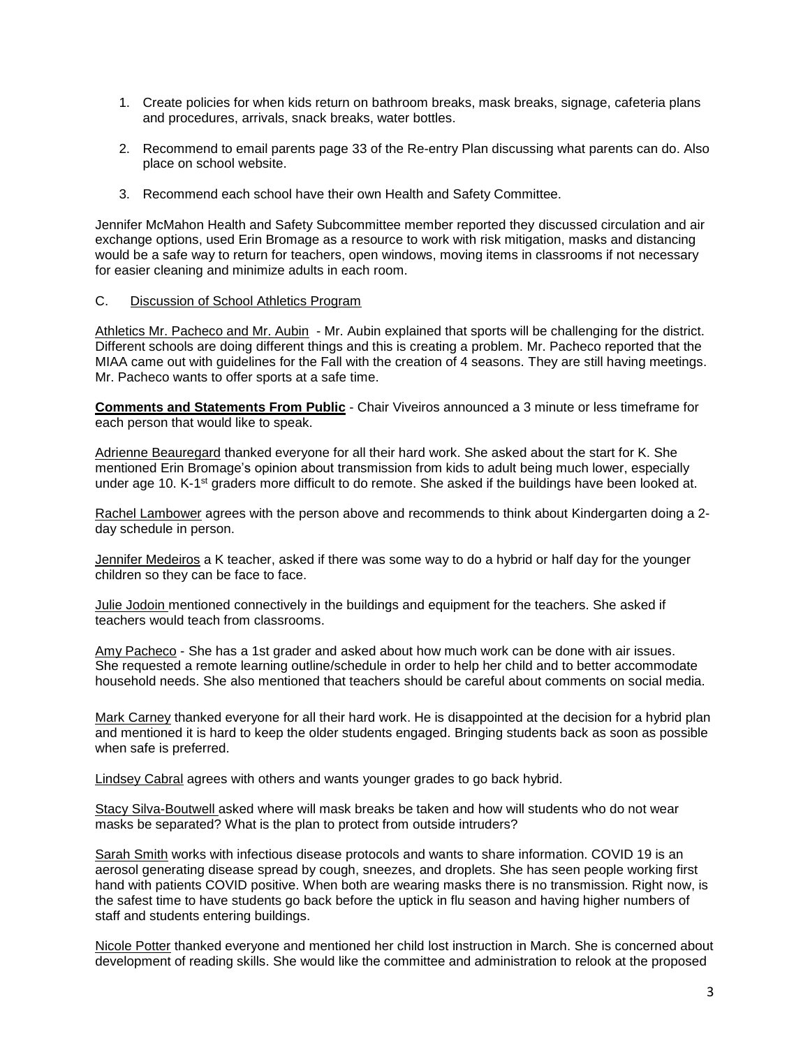- 1. Create policies for when kids return on bathroom breaks, mask breaks, signage, cafeteria plans and procedures, arrivals, snack breaks, water bottles.
- 2. Recommend to email parents page 33 of the Re-entry Plan discussing what parents can do. Also place on school website.
- 3. Recommend each school have their own Health and Safety Committee.

Jennifer McMahon Health and Safety Subcommittee member reported they discussed circulation and air exchange options, used Erin Bromage as a resource to work with risk mitigation, masks and distancing would be a safe way to return for teachers, open windows, moving items in classrooms if not necessary for easier cleaning and minimize adults in each room.

# C. Discussion of School Athletics Program

Athletics Mr. Pacheco and Mr. Aubin - Mr. Aubin explained that sports will be challenging for the district. Different schools are doing different things and this is creating a problem. Mr. Pacheco reported that the MIAA came out with guidelines for the Fall with the creation of 4 seasons. They are still having meetings. Mr. Pacheco wants to offer sports at a safe time.

**Comments and Statements From Public** - Chair Viveiros announced a 3 minute or less timeframe for each person that would like to speak.

Adrienne Beauregard thanked everyone for all their hard work. She asked about the start for K. She mentioned Erin Bromage's opinion about transmission from kids to adult being much lower, especially under age 10. K-1<sup>st</sup> graders more difficult to do remote. She asked if the buildings have been looked at.

Rachel Lambower agrees with the person above and recommends to think about Kindergarten doing a 2 day schedule in person.

Jennifer Medeiros a K teacher, asked if there was some way to do a hybrid or half day for the younger children so they can be face to face.

Julie Jodoin mentioned connectively in the buildings and equipment for the teachers. She asked if teachers would teach from classrooms.

Amy Pacheco - She has a 1st grader and asked about how much work can be done with air issues. She requested a remote learning outline/schedule in order to help her child and to better accommodate household needs. She also mentioned that teachers should be careful about comments on social media.

Mark Carney thanked everyone for all their hard work. He is disappointed at the decision for a hybrid plan and mentioned it is hard to keep the older students engaged. Bringing students back as soon as possible when safe is preferred.

Lindsey Cabral agrees with others and wants younger grades to go back hybrid.

Stacy Silva-Boutwell asked where will mask breaks be taken and how will students who do not wear masks be separated? What is the plan to protect from outside intruders?

Sarah Smith works with infectious disease protocols and wants to share information. COVID 19 is an aerosol generating disease spread by cough, sneezes, and droplets. She has seen people working first hand with patients COVID positive. When both are wearing masks there is no transmission. Right now, is the safest time to have students go back before the uptick in flu season and having higher numbers of staff and students entering buildings.

Nicole Potter thanked everyone and mentioned her child lost instruction in March. She is concerned about development of reading skills. She would like the committee and administration to relook at the proposed